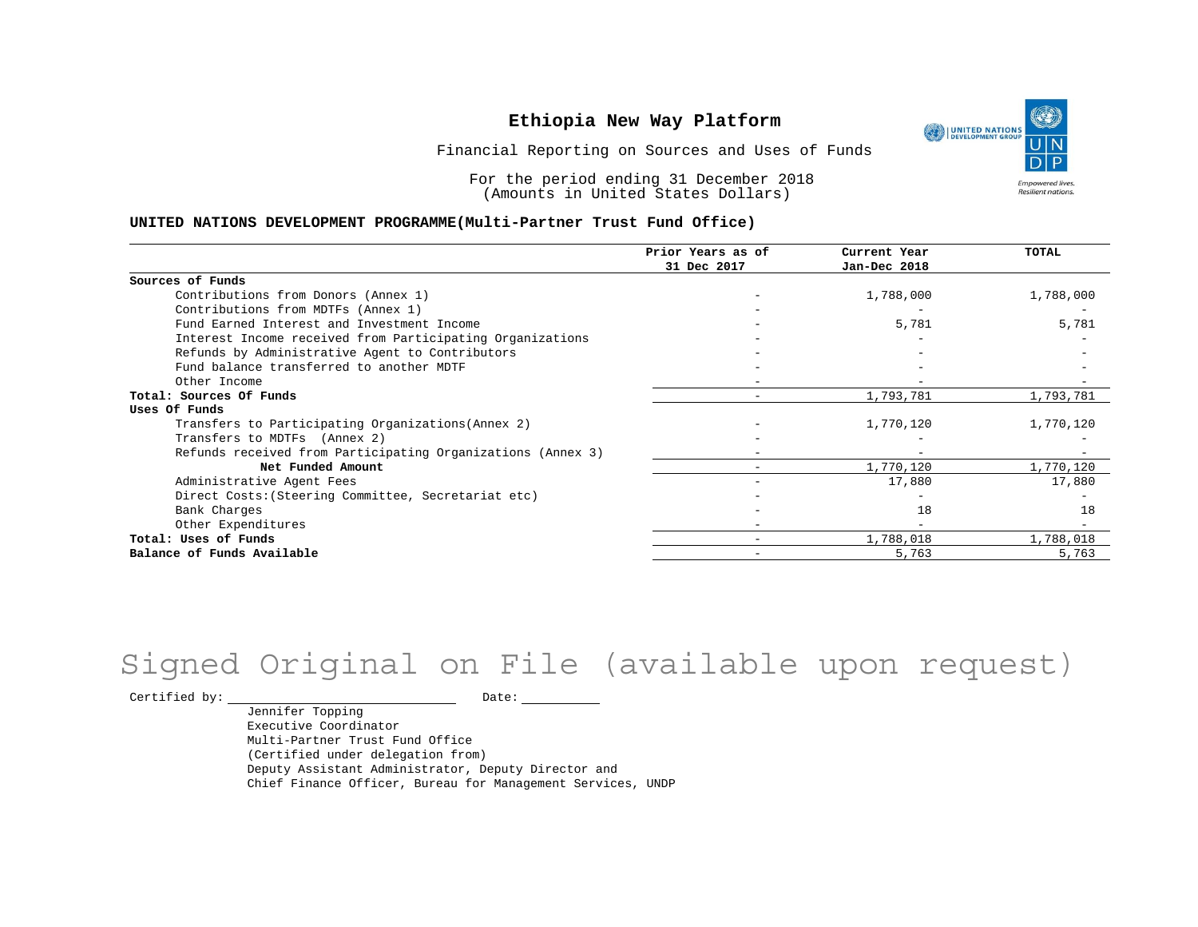

Financial Reporting on Sources and Uses of Funds

For the period ending 31 December 2018 (Amounts in United States Dollars)

#### **UNITED NATIONS DEVELOPMENT PROGRAMME(Multi-Partner Trust Fund Office)**

|                                                             | Prior Years as of | Current Year             | <b>TOTAL</b> |
|-------------------------------------------------------------|-------------------|--------------------------|--------------|
|                                                             | 31 Dec 2017       | Jan-Dec 2018             |              |
| Sources of Funds                                            |                   |                          |              |
| Contributions from Donors (Annex 1)                         |                   | 1,788,000                | 1,788,000    |
| Contributions from MDTFs (Annex 1)                          |                   |                          |              |
| Fund Earned Interest and Investment Income                  |                   | 5,781                    | 5,781        |
| Interest Income received from Participating Organizations   |                   |                          |              |
| Refunds by Administrative Agent to Contributors             |                   |                          |              |
| Fund balance transferred to another MDTF                    |                   |                          |              |
| Other Income                                                |                   |                          |              |
| Total: Sources Of Funds                                     |                   | 1,793,781                | 1,793,781    |
| Uses Of Funds                                               |                   |                          |              |
| Transfers to Participating Organizations (Annex 2)          |                   | 1,770,120                | 1,770,120    |
| Transfers to MDTFs (Annex 2)                                |                   |                          |              |
| Refunds received from Participating Organizations (Annex 3) |                   | $\overline{\phantom{a}}$ |              |
| Net Funded Amount                                           |                   | 1,770,120                | 1,770,120    |
| Administrative Agent Fees                                   |                   | 17,880                   | 17,880       |
| Direct Costs: (Steering Committee, Secretariat etc)         |                   |                          |              |
| Bank Charges                                                |                   | 18                       | 18           |
| Other Expenditures                                          |                   |                          |              |
| Total: Uses of Funds                                        |                   | 1,788,018                | 1,788,018    |
| Balance of Funds Available                                  |                   | 5,763                    | 5,763        |

# Signed Original on File (available upon request)

 $\begin{tabular}{ccccc} \multicolumn{2}{c|}{\textbf{Certified by:}} & \multicolumn{2}{c|}{\textbf{Date:}} & \multicolumn{2}{c|}{\textbf{Date:}} \end{tabular}$ 

Jennifer Topping Executive Coordinator Multi-Partner Trust Fund Office (Certified under delegation from) Deputy Assistant Administrator, Deputy Director and Chief Finance Officer, Bureau for Management Services, UNDP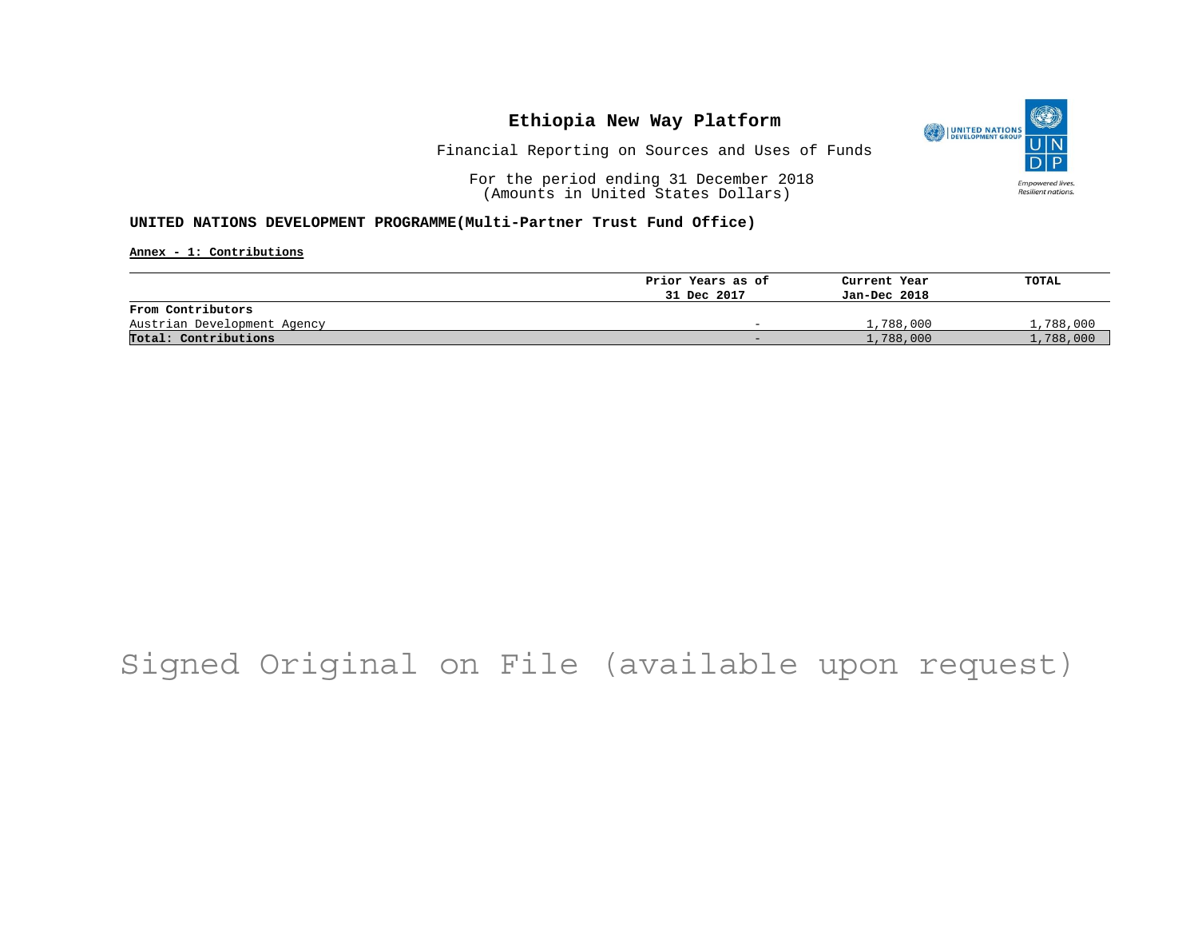

Financial Reporting on Sources and Uses of Funds

For the period ending 31 December 2018 (Amounts in United States Dollars)

#### **UNITED NATIONS DEVELOPMENT PROGRAMME(Multi-Partner Trust Fund Office)**

**Annex - 1: Contributions**

|                             | Prior Years as of        | Current Year | TOTAL     |
|-----------------------------|--------------------------|--------------|-----------|
|                             | 31 Dec 2017              | Jan-Dec 2018 |           |
| From Contributors           |                          |              |           |
| Austrian Development Agency | $\overline{\phantom{0}}$ | 1,788,000    | 1,788,000 |
| Total: Contributions        | $\sim$                   | 1,788,000    | 1,788,000 |

## Signed Original on File (available upon request)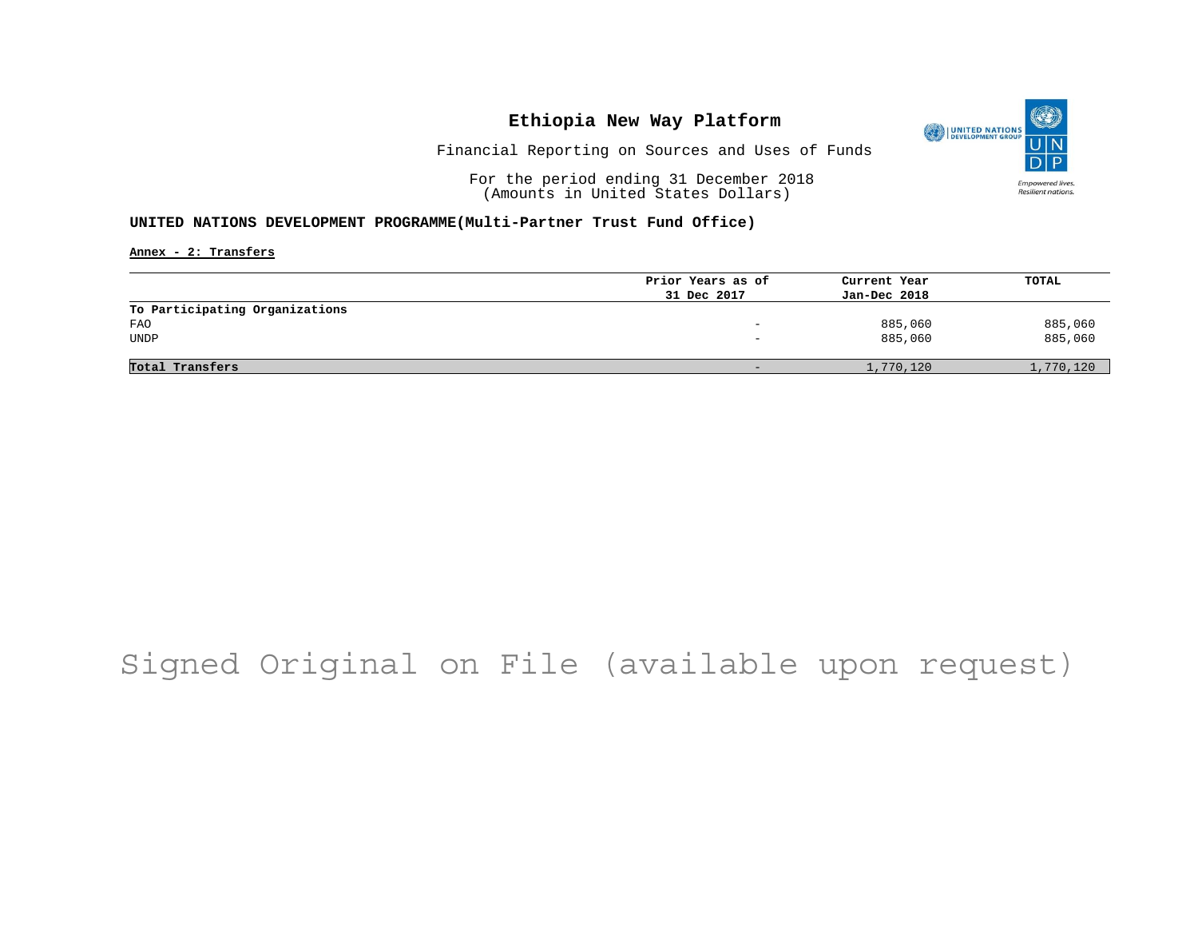

Financial Reporting on Sources and Uses of Funds

For the period ending 31 December 2018 (Amounts in United States Dollars)

#### **UNITED NATIONS DEVELOPMENT PROGRAMME(Multi-Partner Trust Fund Office)**

**Annex - 2: Transfers**

| Prior Years as of | Current Year | TOTAL     |
|-------------------|--------------|-----------|
| 31 Dec 2017       | Jan-Dec 2018 |           |
|                   |              |           |
|                   | 885,060      | 885,060   |
| -                 | 885,060      | 885,060   |
|                   |              |           |
|                   | 1,770,120    | 1,770,120 |
|                   |              |           |

## Signed Original on File (available upon request)